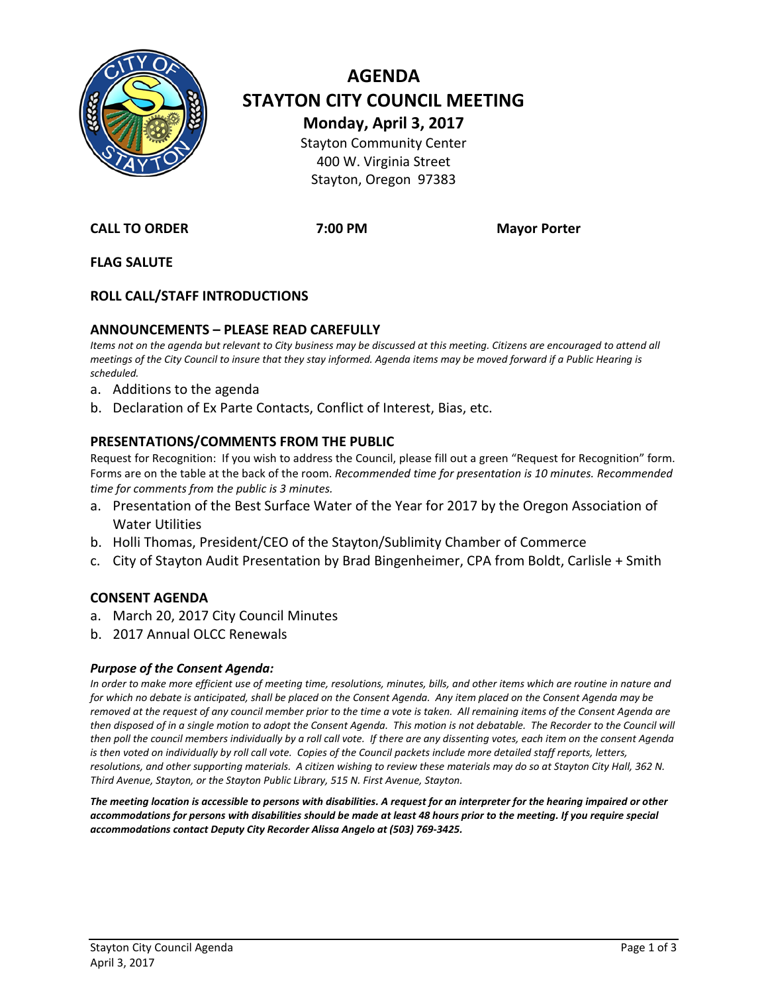

# **AGENDA STAYTON CITY COUNCIL MEETING Monday, April 3, 2017** Stayton Community Center 400 W. Virginia Street

Stayton, Oregon 97383

**CALL TO ORDER 7:00 PM Mayor Porter**

**FLAG SALUTE**

## **ROLL CALL/STAFF INTRODUCTIONS**

## **ANNOUNCEMENTS – PLEASE READ CAREFULLY**

*Items not on the agenda but relevant to City business may be discussed at this meeting. Citizens are encouraged to attend all meetings of the City Council to insure that they stay informed. Agenda items may be moved forward if a Public Hearing is scheduled.*

- a. Additions to the agenda
- b. Declaration of Ex Parte Contacts, Conflict of Interest, Bias, etc.

## **PRESENTATIONS/COMMENTS FROM THE PUBLIC**

Request for Recognition: If you wish to address the Council, please fill out a green "Request for Recognition" form. Forms are on the table at the back of the room. *Recommended time for presentation is 10 minutes. Recommended time for comments from the public is 3 minutes.*

- a. Presentation of the Best Surface Water of the Year for 2017 by the Oregon Association of Water Utilities
- b. Holli Thomas, President/CEO of the Stayton/Sublimity Chamber of Commerce
- c. City of Stayton Audit Presentation by Brad Bingenheimer, CPA from Boldt, Carlisle + Smith

## **CONSENT AGENDA**

- a. March 20, 2017 City Council Minutes
- b. 2017 Annual OLCC Renewals

#### *Purpose of the Consent Agenda:*

*In order to make more efficient use of meeting time, resolutions, minutes, bills, and other items which are routine in nature and for which no debate is anticipated, shall be placed on the Consent Agenda. Any item placed on the Consent Agenda may be removed at the request of any council member prior to the time a vote is taken. All remaining items of the Consent Agenda are then disposed of in a single motion to adopt the Consent Agenda. This motion is not debatable. The Recorder to the Council will then poll the council members individually by a roll call vote. If there are any dissenting votes, each item on the consent Agenda is then voted on individually by roll call vote. Copies of the Council packets include more detailed staff reports, letters, resolutions, and other supporting materials. A citizen wishing to review these materials may do so at Stayton City Hall, 362 N. Third Avenue, Stayton, or the Stayton Public Library, 515 N. First Avenue, Stayton.*

*The meeting location is accessible to persons with disabilities. A request for an interpreter for the hearing impaired or other accommodations for persons with disabilities should be made at least 48 hours prior to the meeting. If you require special accommodations contact Deputy City Recorder Alissa Angelo at (503) 769-3425.*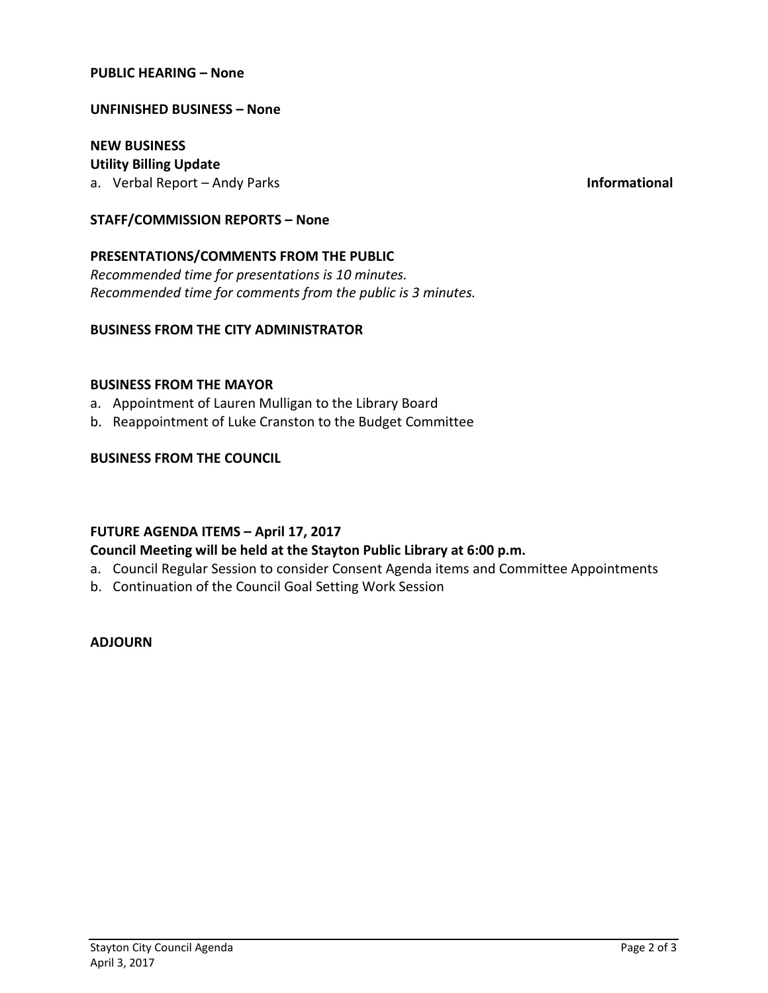## **PUBLIC HEARING – None**

#### **UNFINISHED BUSINESS – None**

## **NEW BUSINESS**

## **Utility Billing Update**

a. Verbal Report – Andy Parks **Informational**

## **STAFF/COMMISSION REPORTS – None**

## **PRESENTATIONS/COMMENTS FROM THE PUBLIC**

*Recommended time for presentations is 10 minutes. Recommended time for comments from the public is 3 minutes.*

## **BUSINESS FROM THE CITY ADMINISTRATOR**

#### **BUSINESS FROM THE MAYOR**

- a. Appointment of Lauren Mulligan to the Library Board
- b. Reappointment of Luke Cranston to the Budget Committee

## **BUSINESS FROM THE COUNCIL**

## **FUTURE AGENDA ITEMS – April 17, 2017**

## **Council Meeting will be held at the Stayton Public Library at 6:00 p.m.**

- a. Council Regular Session to consider Consent Agenda items and Committee Appointments
- b. Continuation of the Council Goal Setting Work Session

## **ADJOURN**

Stayton City Council Agenda **Page 2 of 3** and 2 of 3 April 3, 2017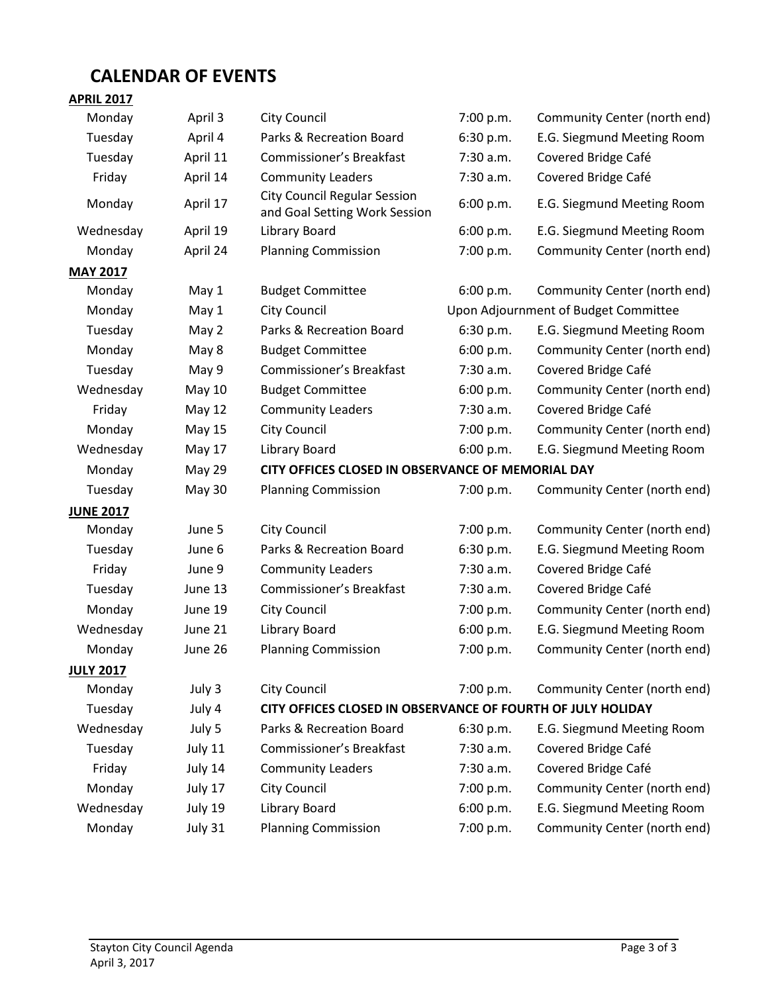# **CALENDAR OF EVENTS**

## **APRIL 2017**

| Monday           | April 3       | <b>City Council</b>                                                  | 7:00 p.m. | Community Center (north end)         |
|------------------|---------------|----------------------------------------------------------------------|-----------|--------------------------------------|
| Tuesday          | April 4       | Parks & Recreation Board                                             | 6:30 p.m. | E.G. Siegmund Meeting Room           |
| Tuesday          | April 11      | <b>Commissioner's Breakfast</b>                                      | 7:30 a.m. | Covered Bridge Café                  |
| Friday           | April 14      | <b>Community Leaders</b>                                             | 7:30 a.m. | Covered Bridge Café                  |
| Monday           | April 17      | <b>City Council Regular Session</b><br>and Goal Setting Work Session | 6:00 p.m. | E.G. Siegmund Meeting Room           |
| Wednesday        | April 19      | Library Board                                                        | 6:00 p.m. | E.G. Siegmund Meeting Room           |
| Monday           | April 24      | <b>Planning Commission</b>                                           | 7:00 p.m. | Community Center (north end)         |
| <b>MAY 2017</b>  |               |                                                                      |           |                                      |
| Monday           | May 1         | <b>Budget Committee</b>                                              | 6:00 p.m. | Community Center (north end)         |
| Monday           | May 1         | <b>City Council</b>                                                  |           | Upon Adjournment of Budget Committee |
| Tuesday          | May 2         | Parks & Recreation Board                                             | 6:30 p.m. | E.G. Siegmund Meeting Room           |
| Monday           | May 8         | <b>Budget Committee</b>                                              | 6:00 p.m. | Community Center (north end)         |
| Tuesday          | May 9         | <b>Commissioner's Breakfast</b>                                      | 7:30 a.m. | Covered Bridge Café                  |
| Wednesday        | <b>May 10</b> | <b>Budget Committee</b>                                              | 6:00 p.m. | Community Center (north end)         |
| Friday           | May 12        | <b>Community Leaders</b>                                             | 7:30 a.m. | Covered Bridge Café                  |
| Monday           | <b>May 15</b> | City Council                                                         | 7:00 p.m. | Community Center (north end)         |
| Wednesday        | May 17        | Library Board                                                        | 6:00 p.m. | E.G. Siegmund Meeting Room           |
| Monday           | <b>May 29</b> | CITY OFFICES CLOSED IN OBSERVANCE OF MEMORIAL DAY                    |           |                                      |
| Tuesday          | May 30        | <b>Planning Commission</b>                                           | 7:00 p.m. | Community Center (north end)         |
| <b>JUNE 2017</b> |               |                                                                      |           |                                      |
| Monday           | June 5        | <b>City Council</b>                                                  | 7:00 p.m. | Community Center (north end)         |
| Tuesday          | June 6        | Parks & Recreation Board                                             | 6:30 p.m. | E.G. Siegmund Meeting Room           |
| Friday           | June 9        | <b>Community Leaders</b>                                             | 7:30 a.m. | Covered Bridge Café                  |
| Tuesday          | June 13       | <b>Commissioner's Breakfast</b>                                      | 7:30 a.m. | Covered Bridge Café                  |
| Monday           | June 19       | <b>City Council</b>                                                  | 7:00 p.m. | Community Center (north end)         |
| Wednesday        | June 21       | Library Board                                                        | 6:00 p.m. | E.G. Siegmund Meeting Room           |
| Monday           | June 26       | <b>Planning Commission</b>                                           | 7:00 p.m. | Community Center (north end)         |
| <b>JULY 2017</b> |               |                                                                      |           |                                      |
| Monday           | July 3        | <b>City Council</b>                                                  | 7:00 p.m. | Community Center (north end)         |
| Tuesday          | July 4        | CITY OFFICES CLOSED IN OBSERVANCE OF FOURTH OF JULY HOLIDAY          |           |                                      |
| Wednesday        | July 5        | Parks & Recreation Board                                             | 6:30 p.m. | E.G. Siegmund Meeting Room           |
| Tuesday          | July 11       | <b>Commissioner's Breakfast</b>                                      | 7:30 a.m. | Covered Bridge Café                  |
| Friday           | July 14       | <b>Community Leaders</b>                                             | 7:30 a.m. | Covered Bridge Café                  |
| Monday           | July 17       | City Council                                                         | 7:00 p.m. | Community Center (north end)         |
| Wednesday        | July 19       | Library Board                                                        | 6:00 p.m. | E.G. Siegmund Meeting Room           |
| Monday           | July 31       | <b>Planning Commission</b>                                           | 7:00 p.m. | Community Center (north end)         |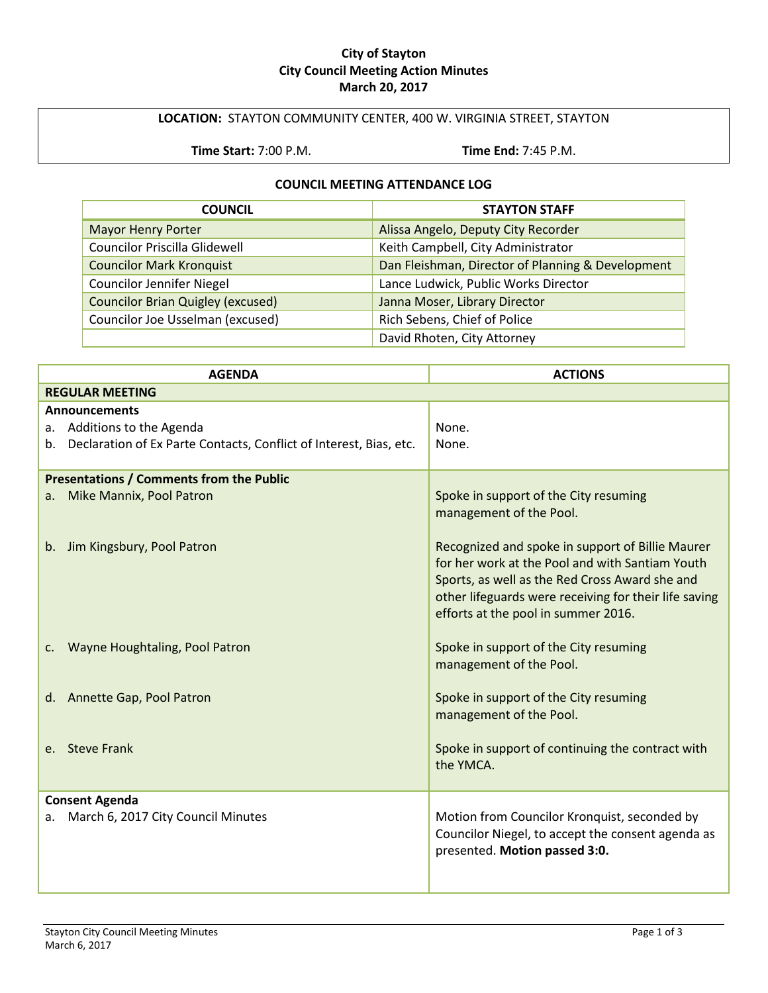## **City of Stayton City Council Meeting Action Minutes March 20, 2017**

## **LOCATION:** STAYTON COMMUNITY CENTER, 400 W. VIRGINIA STREET, STAYTON

**Time Start:** 7:00 P.M. **Time End:** 7:45 P.M.

## **COUNCIL MEETING ATTENDANCE LOG**

| <b>COUNCIL</b>                           | <b>STAYTON STAFF</b>                              |
|------------------------------------------|---------------------------------------------------|
| <b>Mayor Henry Porter</b>                | Alissa Angelo, Deputy City Recorder               |
| <b>Councilor Priscilla Glidewell</b>     | Keith Campbell, City Administrator                |
| <b>Councilor Mark Kronquist</b>          | Dan Fleishman, Director of Planning & Development |
| <b>Councilor Jennifer Niegel</b>         | Lance Ludwick, Public Works Director              |
| <b>Councilor Brian Quigley (excused)</b> | Janna Moser, Library Director                     |
| Councilor Joe Usselman (excused)         | Rich Sebens, Chief of Police                      |
|                                          | David Rhoten, City Attorney                       |

| <b>AGENDA</b>                                                         | <b>ACTIONS</b>                                                                                                                                                                                                                                        |  |  |
|-----------------------------------------------------------------------|-------------------------------------------------------------------------------------------------------------------------------------------------------------------------------------------------------------------------------------------------------|--|--|
| <b>REGULAR MEETING</b>                                                |                                                                                                                                                                                                                                                       |  |  |
| <b>Announcements</b>                                                  |                                                                                                                                                                                                                                                       |  |  |
| a. Additions to the Agenda                                            | None.                                                                                                                                                                                                                                                 |  |  |
| b. Declaration of Ex Parte Contacts, Conflict of Interest, Bias, etc. | None.                                                                                                                                                                                                                                                 |  |  |
|                                                                       |                                                                                                                                                                                                                                                       |  |  |
| <b>Presentations / Comments from the Public</b>                       |                                                                                                                                                                                                                                                       |  |  |
| Mike Mannix, Pool Patron<br>a.                                        | Spoke in support of the City resuming<br>management of the Pool.                                                                                                                                                                                      |  |  |
|                                                                       |                                                                                                                                                                                                                                                       |  |  |
| b. Jim Kingsbury, Pool Patron                                         | Recognized and spoke in support of Billie Maurer<br>for her work at the Pool and with Santiam Youth<br>Sports, as well as the Red Cross Award she and<br>other lifeguards were receiving for their life saving<br>efforts at the pool in summer 2016. |  |  |
| Wayne Houghtaling, Pool Patron<br>C <sub>1</sub>                      | Spoke in support of the City resuming<br>management of the Pool.                                                                                                                                                                                      |  |  |
| d. Annette Gap, Pool Patron                                           | Spoke in support of the City resuming<br>management of the Pool.                                                                                                                                                                                      |  |  |
| e. Steve Frank                                                        | Spoke in support of continuing the contract with<br>the YMCA.                                                                                                                                                                                         |  |  |
| <b>Consent Agenda</b>                                                 |                                                                                                                                                                                                                                                       |  |  |
| March 6, 2017 City Council Minutes<br>а.                              | Motion from Councilor Kronquist, seconded by<br>Councilor Niegel, to accept the consent agenda as<br>presented. Motion passed 3:0.                                                                                                                    |  |  |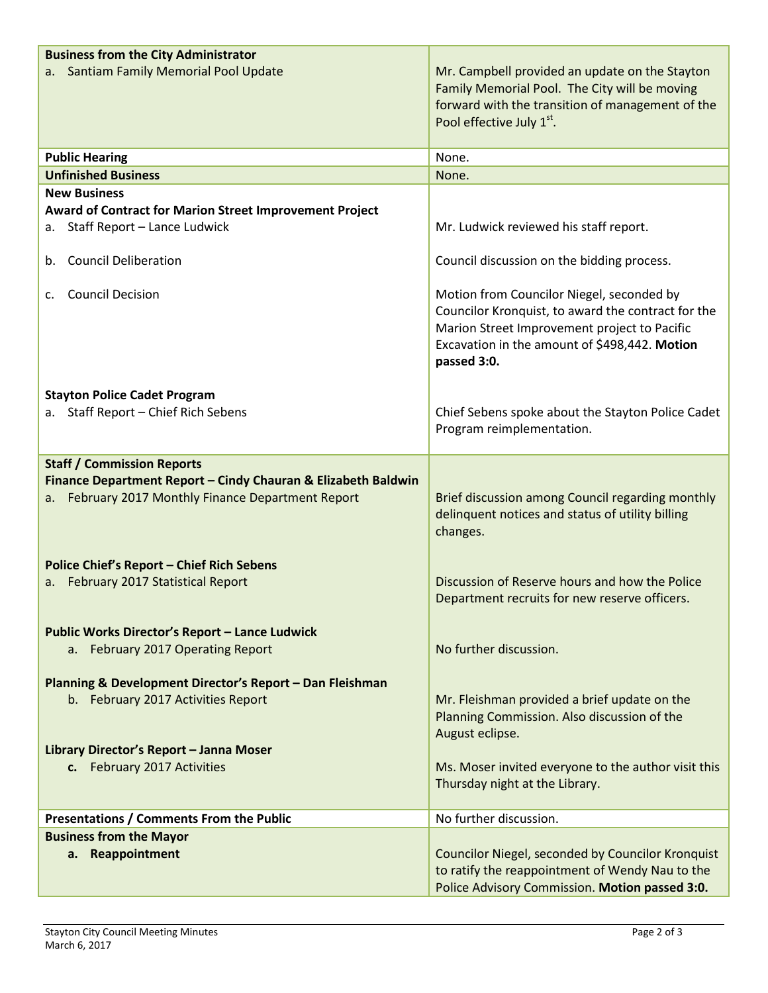| <b>Business from the City Administrator</b>                                                                                 |                                                                                                                                                                                                                 |
|-----------------------------------------------------------------------------------------------------------------------------|-----------------------------------------------------------------------------------------------------------------------------------------------------------------------------------------------------------------|
| Santiam Family Memorial Pool Update                                                                                         | Mr. Campbell provided an update on the Stayton<br>Family Memorial Pool. The City will be moving<br>forward with the transition of management of the<br>Pool effective July 1st.                                 |
| <b>Public Hearing</b>                                                                                                       | None.                                                                                                                                                                                                           |
| <b>Unfinished Business</b>                                                                                                  | None.                                                                                                                                                                                                           |
| <b>New Business</b><br><b>Award of Contract for Marion Street Improvement Project</b><br>Staff Report - Lance Ludwick<br>а. | Mr. Ludwick reviewed his staff report.                                                                                                                                                                          |
| b. Council Deliberation                                                                                                     | Council discussion on the bidding process.                                                                                                                                                                      |
| <b>Council Decision</b><br>C.                                                                                               | Motion from Councilor Niegel, seconded by<br>Councilor Kronquist, to award the contract for the<br>Marion Street Improvement project to Pacific<br>Excavation in the amount of \$498,442. Motion<br>passed 3:0. |
| <b>Stayton Police Cadet Program</b>                                                                                         |                                                                                                                                                                                                                 |
| a. Staff Report - Chief Rich Sebens                                                                                         | Chief Sebens spoke about the Stayton Police Cadet<br>Program reimplementation.                                                                                                                                  |
| <b>Staff / Commission Reports</b>                                                                                           |                                                                                                                                                                                                                 |
| Finance Department Report - Cindy Chauran & Elizabeth Baldwin                                                               |                                                                                                                                                                                                                 |
| February 2017 Monthly Finance Department Report<br>а. –                                                                     | Brief discussion among Council regarding monthly<br>delinquent notices and status of utility billing<br>changes.                                                                                                |
| <b>Police Chief's Report - Chief Rich Sebens</b>                                                                            |                                                                                                                                                                                                                 |
| February 2017 Statistical Report<br>а. –                                                                                    | Discussion of Reserve hours and how the Police<br>Department recruits for new reserve officers.                                                                                                                 |
| <b>Public Works Director's Report - Lance Ludwick</b><br>a. February 2017 Operating Report                                  | No further discussion.                                                                                                                                                                                          |
| Planning & Development Director's Report - Dan Fleishman<br>b. February 2017 Activities Report                              | Mr. Fleishman provided a brief update on the<br>Planning Commission. Also discussion of the<br>August eclipse.                                                                                                  |
| Library Director's Report - Janna Moser<br>c. February 2017 Activities                                                      | Ms. Moser invited everyone to the author visit this<br>Thursday night at the Library.                                                                                                                           |
| Presentations / Comments From the Public                                                                                    | No further discussion.                                                                                                                                                                                          |
| <b>Business from the Mayor</b>                                                                                              |                                                                                                                                                                                                                 |
| a. Reappointment                                                                                                            | Councilor Niegel, seconded by Councilor Kronquist<br>to ratify the reappointment of Wendy Nau to the<br>Police Advisory Commission. Motion passed 3:0.                                                          |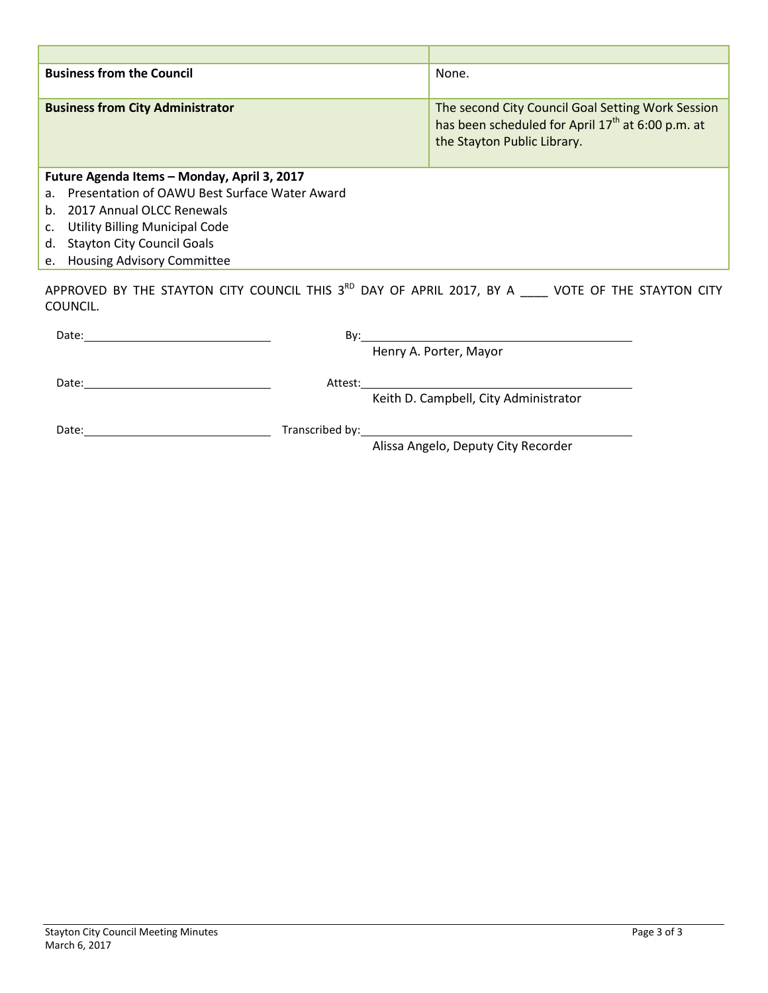|                                                               | <b>Business from the Council</b>            | None.                                                                                                                                             |  |  |
|---------------------------------------------------------------|---------------------------------------------|---------------------------------------------------------------------------------------------------------------------------------------------------|--|--|
|                                                               | <b>Business from City Administrator</b>     | The second City Council Goal Setting Work Session<br>has been scheduled for April 17 <sup>th</sup> at 6:00 p.m. at<br>the Stayton Public Library. |  |  |
|                                                               | Future Agenda Items - Monday, April 3, 2017 |                                                                                                                                                   |  |  |
| Presentation of OAWU Best Surface Water Award<br>$\mathsf{a}$ |                                             |                                                                                                                                                   |  |  |
| h.                                                            | 2017 Annual OLCC Renewals                   |                                                                                                                                                   |  |  |
| c.                                                            | <b>Utility Billing Municipal Code</b>       |                                                                                                                                                   |  |  |
| d.                                                            | <b>Stayton City Council Goals</b>           |                                                                                                                                                   |  |  |
| e.                                                            | <b>Housing Advisory Committee</b>           |                                                                                                                                                   |  |  |

APPROVED BY THE STAYTON CITY COUNCIL THIS  $3^{RD}$  DAY OF APRIL 2017, BY A  $\_\_\_\_\$  VOTE OF THE STAYTON CITY COUNCIL.

| Date:<br>the control of the control of the control of the control of the control of the control of | Bv:     |                                       |  |
|----------------------------------------------------------------------------------------------------|---------|---------------------------------------|--|
|                                                                                                    |         | Henry A. Porter, Mayor                |  |
| Date:                                                                                              | Attest: | Keith D. Campbell, City Administrator |  |
| Date:                                                                                              |         | Alissa Angelo, Deputy City Recorder   |  |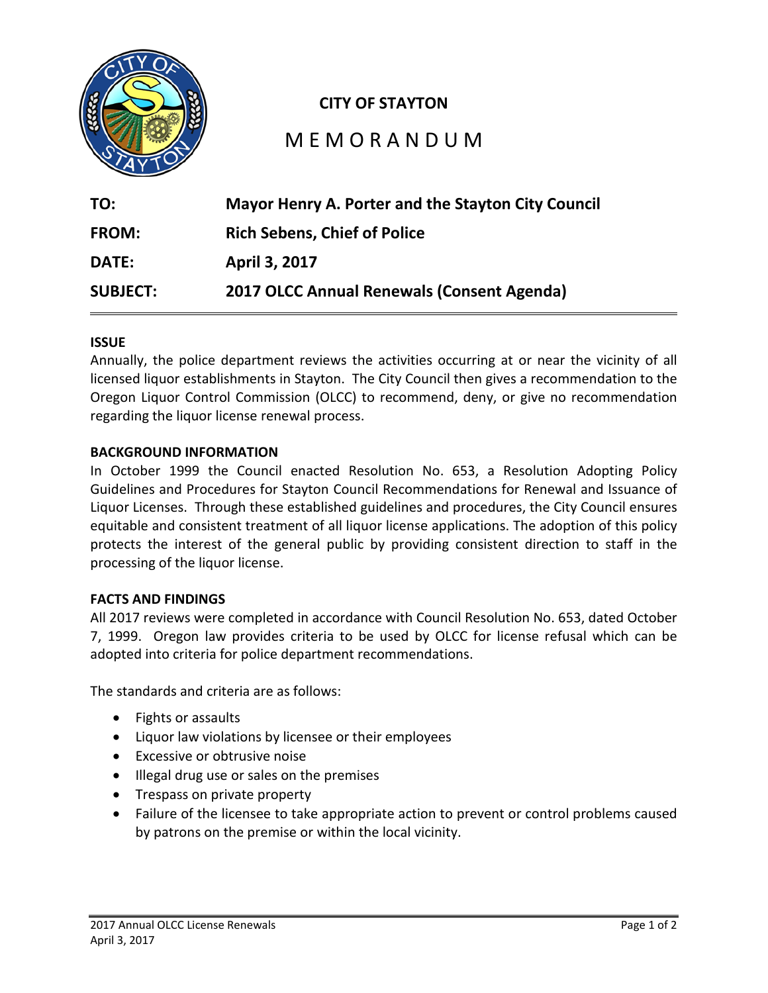

## **CITY OF STAYTON**

# M E M O R A N D U M

| TO:             | Mayor Henry A. Porter and the Stayton City Council |
|-----------------|----------------------------------------------------|
| <b>FROM:</b>    | <b>Rich Sebens, Chief of Police</b>                |
| <b>DATE:</b>    | <b>April 3, 2017</b>                               |
| <b>SUBJECT:</b> | 2017 OLCC Annual Renewals (Consent Agenda)         |

## **ISSUE**

Annually, the police department reviews the activities occurring at or near the vicinity of all licensed liquor establishments in Stayton. The City Council then gives a recommendation to the Oregon Liquor Control Commission (OLCC) to recommend, deny, or give no recommendation regarding the liquor license renewal process.

## **BACKGROUND INFORMATION**

In October 1999 the Council enacted Resolution No. 653, a Resolution Adopting Policy Guidelines and Procedures for Stayton Council Recommendations for Renewal and Issuance of Liquor Licenses. Through these established guidelines and procedures, the City Council ensures equitable and consistent treatment of all liquor license applications. The adoption of this policy protects the interest of the general public by providing consistent direction to staff in the processing of the liquor license.

## **FACTS AND FINDINGS**

All 2017 reviews were completed in accordance with Council Resolution No. 653, dated October 7, 1999. Oregon law provides criteria to be used by OLCC for license refusal which can be adopted into criteria for police department recommendations.

The standards and criteria are as follows:

- Fights or assaults
- Liquor law violations by licensee or their employees
- Excessive or obtrusive noise
- Illegal drug use or sales on the premises
- Trespass on private property
- Failure of the licensee to take appropriate action to prevent or control problems caused by patrons on the premise or within the local vicinity.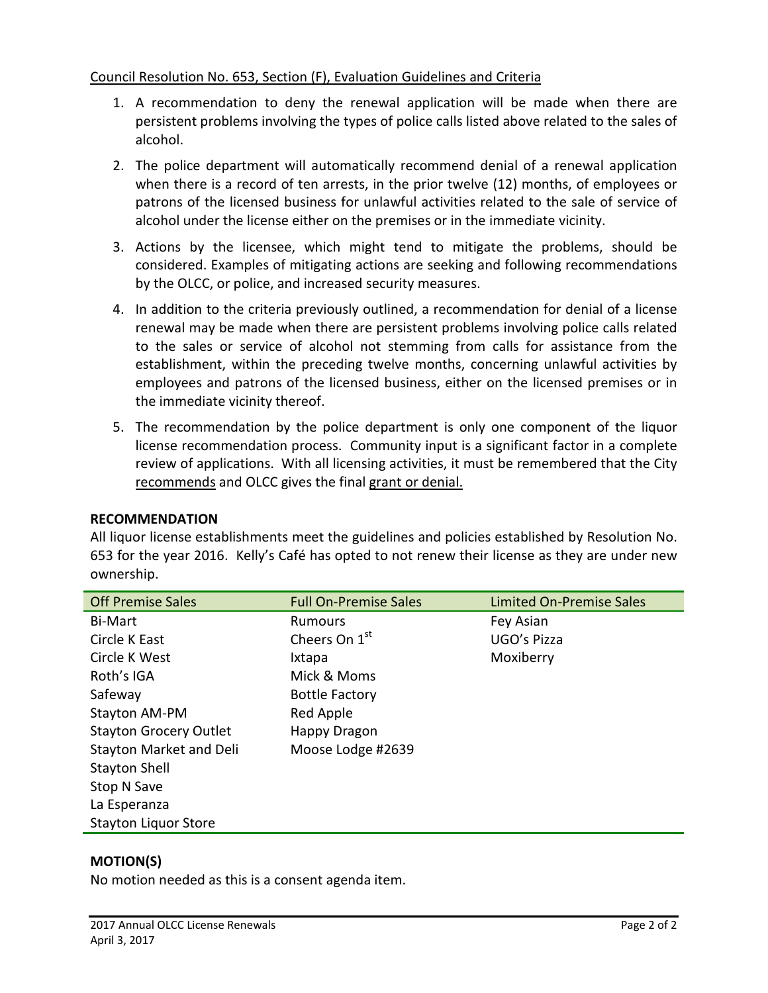## Council Resolution No. 653, Section (F), Evaluation Guidelines and Criteria

- 1. A recommendation to deny the renewal application will be made when there are persistent problems involving the types of police calls listed above related to the sales of alcohol.
- 2. The police department will automatically recommend denial of a renewal application when there is a record of ten arrests, in the prior twelve (12) months, of employees or patrons of the licensed business for unlawful activities related to the sale of service of alcohol under the license either on the premises or in the immediate vicinity.
- 3. Actions by the licensee, which might tend to mitigate the problems, should be considered. Examples of mitigating actions are seeking and following recommendations by the OLCC, or police, and increased security measures.
- 4. In addition to the criteria previously outlined, a recommendation for denial of a license renewal may be made when there are persistent problems involving police calls related to the sales or service of alcohol not stemming from calls for assistance from the establishment, within the preceding twelve months, concerning unlawful activities by employees and patrons of the licensed business, either on the licensed premises or in the immediate vicinity thereof.
- 5. The recommendation by the police department is only one component of the liquor license recommendation process. Community input is a significant factor in a complete review of applications. With all licensing activities, it must be remembered that the City recommends and OLCC gives the final grant or denial.

## **RECOMMENDATION**

All liquor license establishments meet the guidelines and policies established by Resolution No. 653 for the year 2016. Kelly's Café has opted to not renew their license as they are under new ownership.

| <b>Off Premise Sales</b>      | <b>Full On-Premise Sales</b> | <b>Limited On-Premise Sales</b> |
|-------------------------------|------------------------------|---------------------------------|
| Bi-Mart                       | Rumours                      | Fey Asian                       |
| Circle K East                 | Cheers On 1 <sup>st</sup>    | UGO's Pizza                     |
| Circle K West                 | Ixtapa                       | Moxiberry                       |
| Roth's IGA                    | Mick & Moms                  |                                 |
| Safeway                       | <b>Bottle Factory</b>        |                                 |
| Stayton AM-PM                 | Red Apple                    |                                 |
| <b>Stayton Grocery Outlet</b> | Happy Dragon                 |                                 |
| Stayton Market and Deli       | Moose Lodge #2639            |                                 |
| <b>Stayton Shell</b>          |                              |                                 |
| Stop N Save                   |                              |                                 |
| La Esperanza                  |                              |                                 |
| <b>Stayton Liquor Store</b>   |                              |                                 |

## **MOTION(S)**

No motion needed as this is a consent agenda item.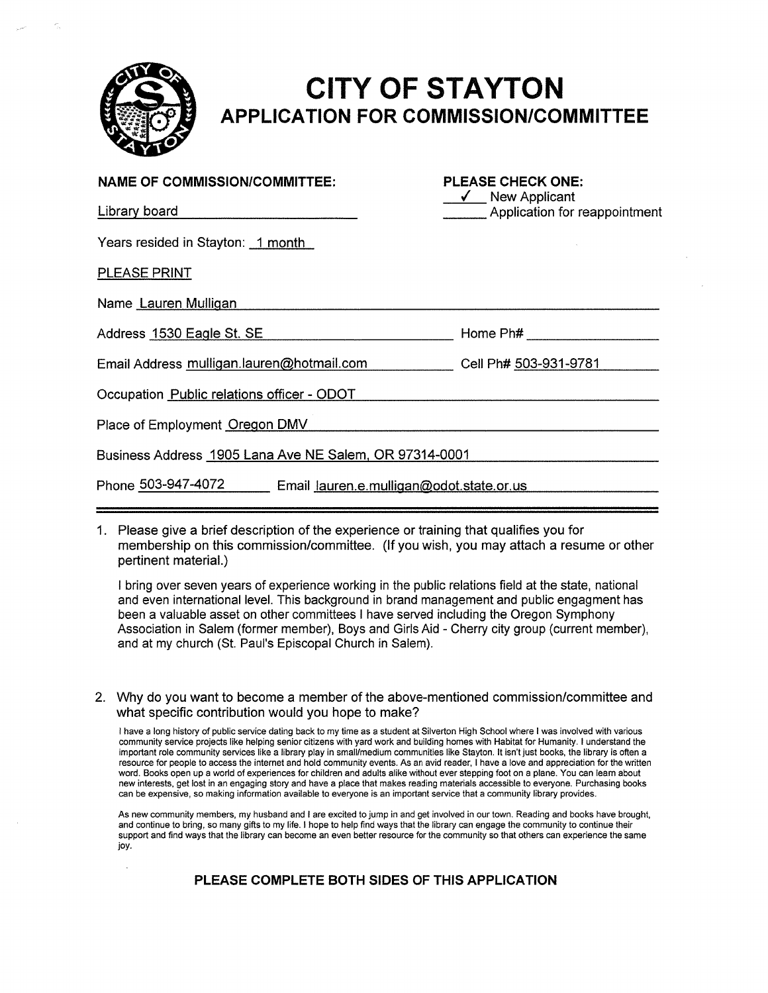

# **CITY OF STAYTON APPLICATION FOR COMMISSION/COMMITTEE**

| <b>NAME OF COMMISSION/COMMITTEE:</b>                           | <b>PLEASE CHECK ONE:</b>                                    |  |  |
|----------------------------------------------------------------|-------------------------------------------------------------|--|--|
| Library board                                                  | $\checkmark$ New Applicant<br>Application for reappointment |  |  |
| Years resided in Stayton: 1 month                              |                                                             |  |  |
| <b>PLEASE PRINT</b>                                            |                                                             |  |  |
| Name Lauren Mulligan                                           |                                                             |  |  |
| Address 1530 Eagle St. SE                                      | Home Ph#                                                    |  |  |
| Email Address mulligan.lauren@hotmail.com                      | Cell Ph# 503-931-9781                                       |  |  |
| Occupation Public relations officer - ODOT                     |                                                             |  |  |
| Place of Employment Oregon DMV                                 |                                                             |  |  |
| Business Address 1905 Lana Ave NE Salem, OR 97314-0001         |                                                             |  |  |
| Phone 503-947-4072<br>Email lauren.e.mulligan@odot.state.or.us |                                                             |  |  |

1. Please give a brief description of the experience or training that qualifies you for membership on this commission/committee. (If you wish, you may attach a resume or other pertinent material.)

I bring over seven years of experience working in the public relations field at the state, national and even international level. This background in brand management and public engagment has been a valuable asset on other committees I have served including the Oregon Symphony Association in Salem (former member), Boys and Girls Aid - Cherry city group (current member), and at my church (St. Paul's Episcopal Church in Salem).

2. Why do you want to become a member of the above-mentioned commission/committee and what specific contribution would you hope to make?

I have a long history of public service dating back to my time as a student at Silverton High School where I was involved with various community service projects like helping senior citizens with yard work and building homes with Habitat for Humanity. I understand the important role community services like a library play in small/medium communities like Stayton. It isn't just books, the library is often a resource for people to access the internet and hold community events. As an avid reader, I have a love and appreciation for the written word. Books open up a world of experiences for children and adults alike without ever stepping foot on a plane. You can learn about new interests, get lost in an engaging story and have a place that makes reading materials accessible to everyone. Purchasing books can be expensive, so making information available to everyone is an important service that a community library provides.

As new community members, my husband and I are excited to jump in and get involved in our town. Reading and books have brought, and continue to bring, so many gifts to my life. I hope to help find ways that the library can engage the community to continue their support and find ways that the library can become an even better resource for the community so that others can experience the same iov.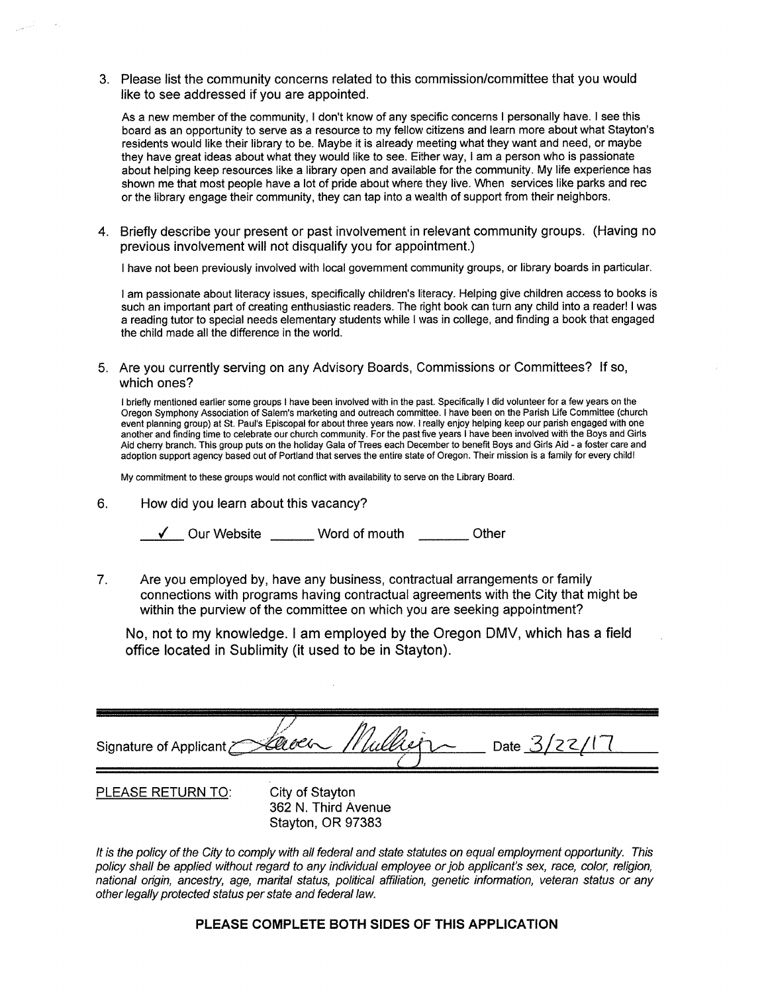3. Please list the community concerns related to this commission/committee that you would like to see addressed if you are appointed.

As a new member of the community, I don't know of any specific concerns I personally have. I see this board as an opportunity to serve as a resource to my fellow citizens and learn more about what Stayton's residents would like their library to be. Maybe it is already meeting what they want and need, or maybe they have great ideas about what they would like to see. Either way, I am a person who is passionate about helping keep resources like a library open and available for the community. My life experience has shown me that most people have a lot of pride about where they live. When services like parks and rec or the library engage their community, they can tap into a wealth of support from their neighbors.

4. Briefly describe your present or past involvement in relevant community groups. (Having no previous involvement will not disqualify you for appointment.)

I have not been previously involved with local government community groups, or library boards in particular.

I am passionate about literacy issues, specifically children's literacy. Helping give children access to books is such an important part of creating enthusiastic readers. The right book can turn any child into a reader! I was a reading tutor to special needs elementary students while I was in college, and finding a book that engaged the child made all the difference in the world.

5. Are you currently serving on any Advisory Boards, Commissions or Committees? If so, which ones?

I briefly mentioned earlier some groups I have been involved with in the past. Specifically I did volunteer for a few years on the Oregon Symphony Association of Salem's marketing and outreach committee. I have been on the Parish Life Committee (church event planning group) at St. Paul's Episcopal for about three years now. I really enjoy helping keep our parish engaged with one another and finding time to celebrate our church community. For the past five years I have been involved with the Boys and Girls Aid cherry branch. This group puts on the holiday Gala of Trees each December to benefit Boys and Girls Aid - a foster care and adoption support agency based out of Portland that serves the entire state of Oregon. Their mission is a family for every child!

My commitment to these groups would not conflict with availability to serve on the Library Board.

 $6.$ How did you learn about this vacancy?

◯ Our Website Word of mouth Queber

 $7<sub>1</sub>$ Are you employed by, have any business, contractual arrangements or family connections with programs having contractual agreements with the City that might be within the purview of the committee on which you are seeking appointment?

No, not to my knowledge. I am employed by the Oregon DMV, which has a field office located in Sublimity (it used to be in Stayton).

| Signature of Applicant Steve |                 | Date |
|------------------------------|-----------------|------|
| Ð١                           | City of Stayton |      |

It is the policy of the City to comply with all federal and state statutes on equal employment opportunity. This policy shall be applied without regard to any individual employee or job applicant's sex, race, color, religion, national origin, ancestry, age, marital status, political affiliation, genetic information, veteran status or any other legally protected status per state and federal law.

362 N. Third Avenue Stayton, OR 97383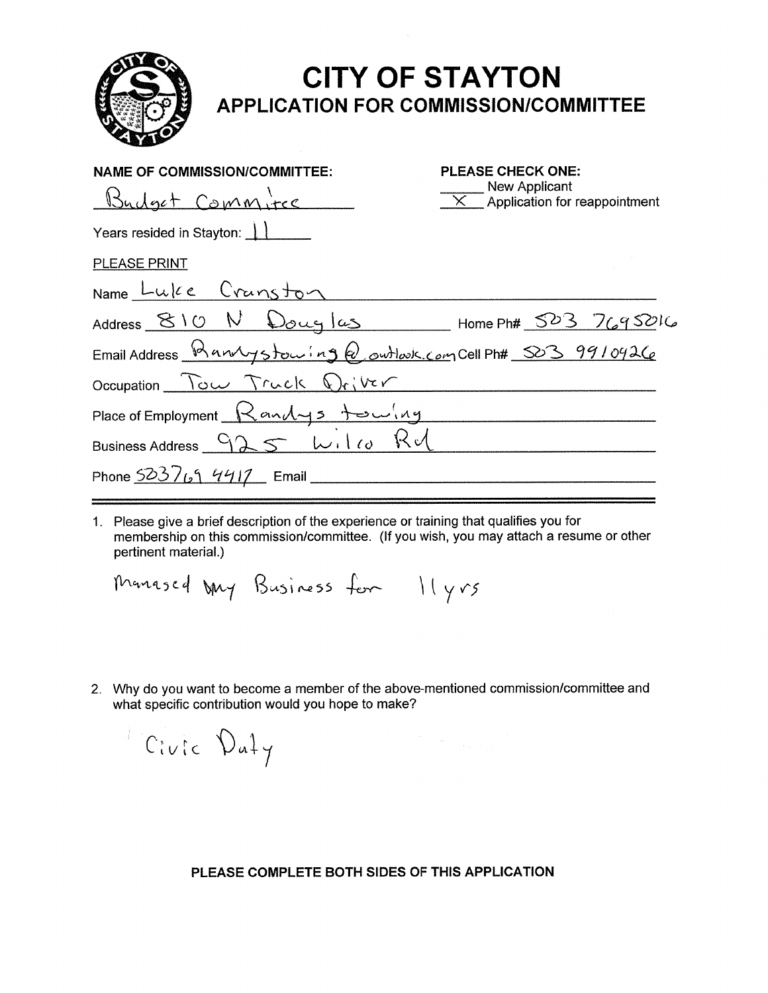

# **CITY OF STAYTON APPLICATION FOR COMMISSION/COMMITTEE**

| <b>NAME OF COMMISSION/COMM</b><br>Budget Committee             | <b>PLEASE CHECK ONE:</b><br>New Applicant<br>$\times$ Application for reappointment |
|----------------------------------------------------------------|-------------------------------------------------------------------------------------|
| Years resided in Stayton: $\ $                                 |                                                                                     |
| <b>PLEASE PRINT</b>                                            |                                                                                     |
| Name Luke Cranston                                             |                                                                                     |
| Address $810$ N $Douy$ las Home Ph# $503$ 7695216              |                                                                                     |
| Email Address Rannlystoning @ outlook.com Cell Ph# 503 9910426 |                                                                                     |
| Occupation Tow Truck Qriver                                    |                                                                                     |
| Place of Employment Randys towing                              |                                                                                     |
| Business Address $925$ $Wilco$ $Rd$                            |                                                                                     |
| Phone $523769$ 4417 Email                                      |                                                                                     |

1. Please give a brief description of the experience or training that qualifies you for membership on this commission/committee. (If you wish, you may attach a resume or other pertinent material.)

Manased My Business for 11 yrs

2. Why do you want to become a member of the above-mentioned commission/committee and what specific contribution would you hope to make?

Civic Duty